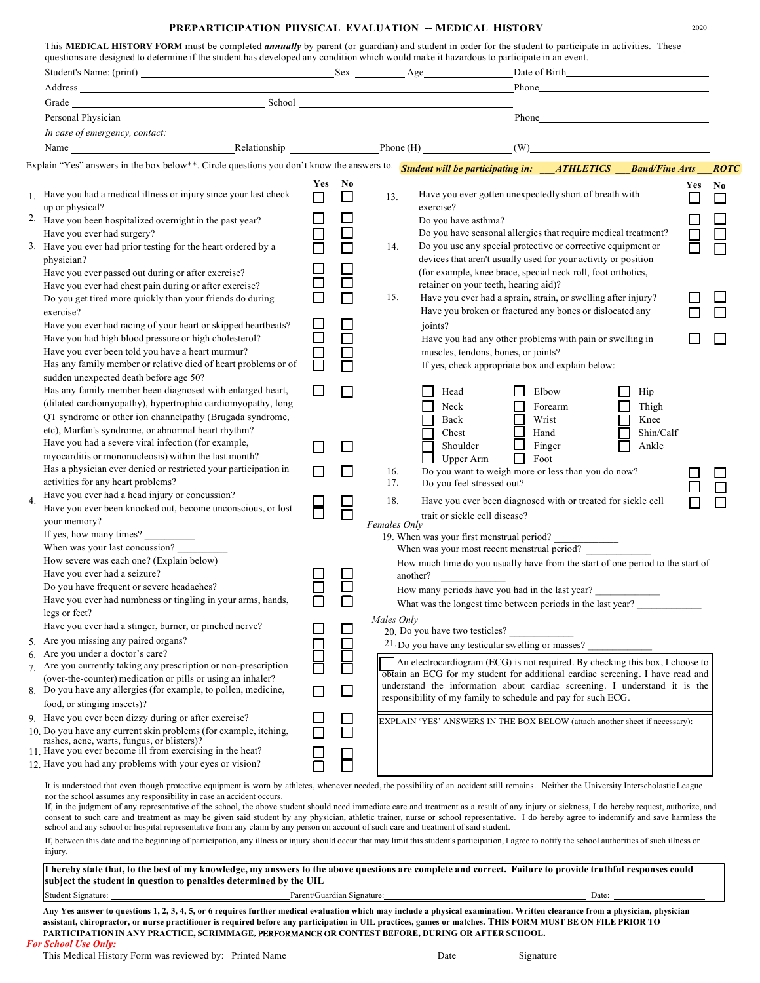## **PREPARTICIPATION PHYSICAL EVALUATION -- MEDICAL HISTORY** 2020

|                  |                                                                                                                                                                                                                                                                                                                                                                                                                                                                     |                            |                  |              | Date of Birth <b>Exercise 2018</b>    |                                                                                                                                                                                                  |                    |     |                          |
|------------------|---------------------------------------------------------------------------------------------------------------------------------------------------------------------------------------------------------------------------------------------------------------------------------------------------------------------------------------------------------------------------------------------------------------------------------------------------------------------|----------------------------|------------------|--------------|---------------------------------------|--------------------------------------------------------------------------------------------------------------------------------------------------------------------------------------------------|--------------------|-----|--------------------------|
|                  |                                                                                                                                                                                                                                                                                                                                                                                                                                                                     |                            |                  |              |                                       |                                                                                                                                                                                                  |                    |     |                          |
|                  | Grade School School School School School School School School School School School School School School School School School School School School School School School School School School School School School School School                                                                                                                                                                                                                                      |                            |                  |              |                                       |                                                                                                                                                                                                  |                    |     |                          |
|                  | Personal Physician contains the contact of the contact of the contact of the contact of the contact of the contact of the contact of the contact of the contact of the contact of the contact of the contact of the contact of                                                                                                                                                                                                                                      |                            |                  |              |                                       | <b>Phone</b>                                                                                                                                                                                     |                    |     |                          |
|                  | In case of emergency, contact:                                                                                                                                                                                                                                                                                                                                                                                                                                      |                            |                  |              |                                       |                                                                                                                                                                                                  |                    |     |                          |
|                  | Name Relationship Phone (H) (W) (W)                                                                                                                                                                                                                                                                                                                                                                                                                                 |                            |                  |              |                                       |                                                                                                                                                                                                  |                    |     |                          |
|                  | Explain "Yes" answers in the box below**. Circle questions you don't know the answers to. <b>Student will be participating in:</b> __ <b>ATHLETICS</b> __ <b>Band/Fine Arts</b>                                                                                                                                                                                                                                                                                     |                            |                  |              |                                       |                                                                                                                                                                                                  |                    |     | <b>ROTC</b>              |
|                  |                                                                                                                                                                                                                                                                                                                                                                                                                                                                     | Yes                        | No               |              |                                       |                                                                                                                                                                                                  |                    |     |                          |
|                  | 1. Have you had a medical illness or injury since your last check<br>up or physical?                                                                                                                                                                                                                                                                                                                                                                                | $\Box$                     | $\Box$           | 13.          | exercise?                             | Have you ever gotten unexpectedly short of breath with                                                                                                                                           |                    | Yes | N <sub>0</sub><br>$\Box$ |
|                  | 2. Have you been hospitalized overnight in the past year?                                                                                                                                                                                                                                                                                                                                                                                                           | ⊔                          | ⊔                |              | Do you have asthma?                   |                                                                                                                                                                                                  |                    |     | $\Box$                   |
|                  | Have you ever had surgery?<br>3. Have you ever had prior testing for the heart ordered by a                                                                                                                                                                                                                                                                                                                                                                         | $\Box$                     | $\Box$<br>$\Box$ | 14.          |                                       | Do you have seasonal allergies that require medical treatment?<br>Do you use any special protective or corrective equipment or<br>devices that aren't usually used for your activity or position |                    |     | $\Box$                   |
|                  | physician?<br>Have you ever passed out during or after exercise?                                                                                                                                                                                                                                                                                                                                                                                                    |                            |                  |              |                                       | (for example, knee brace, special neck roll, foot orthotics,                                                                                                                                     |                    |     |                          |
|                  | Have you ever had chest pain during or after exercise?                                                                                                                                                                                                                                                                                                                                                                                                              | $\Box$                     | $\Box$           |              | retainer on your teeth, hearing aid)? |                                                                                                                                                                                                  |                    |     |                          |
|                  | Do you get tired more quickly than your friends do during                                                                                                                                                                                                                                                                                                                                                                                                           | $\Box$                     | $\Box$           | 15.          |                                       | Have you ever had a sprain, strain, or swelling after injury?                                                                                                                                    |                    |     |                          |
|                  | exercise?<br>Have you ever had racing of your heart or skipped heartbeats?                                                                                                                                                                                                                                                                                                                                                                                          |                            |                  |              | joints?                               | Have you broken or fractured any bones or dislocated any                                                                                                                                         |                    |     |                          |
|                  | Have you had high blood pressure or high cholesterol?                                                                                                                                                                                                                                                                                                                                                                                                               | $\Box$                     | $\Box$           |              |                                       | Have you had any other problems with pain or swelling in                                                                                                                                         |                    |     |                          |
|                  | Have you ever been told you have a heart murmur?<br>Has any family member or relative died of heart problems or of                                                                                                                                                                                                                                                                                                                                                  | 8<br>0                     |                  |              | muscles, tendons, bones, or joints?   | If yes, check appropriate box and explain below:                                                                                                                                                 |                    |     |                          |
|                  | sudden unexpected death before age 50?<br>Has any family member been diagnosed with enlarged heart,                                                                                                                                                                                                                                                                                                                                                                 | □                          | $\Box$           |              |                                       |                                                                                                                                                                                                  |                    |     |                          |
|                  | (dilated cardiomyopathy), hypertrophic cardiomyopathy, long                                                                                                                                                                                                                                                                                                                                                                                                         |                            |                  |              | Head                                  | Elbow<br>$\Box$                                                                                                                                                                                  | Hip                |     |                          |
|                  | QT syndrome or other ion channelpathy (Brugada syndrome,                                                                                                                                                                                                                                                                                                                                                                                                            |                            |                  |              | Neck<br>$\Box$<br>Back                | Forearm<br>$\Box$<br>Wrist                                                                                                                                                                       | Thigh<br>П<br>Knee |     |                          |
|                  | etc), Marfan's syndrome, or abnormal heart rhythm?                                                                                                                                                                                                                                                                                                                                                                                                                  |                            |                  |              | Chest                                 | 囗<br>Hand                                                                                                                                                                                        | Shin/Calf          |     |                          |
|                  | Have you had a severe viral infection (for example,                                                                                                                                                                                                                                                                                                                                                                                                                 | П                          | $\Box$           |              | Shoulder                              | $\Box$<br>Finger                                                                                                                                                                                 | Ankle              |     |                          |
|                  | myocarditis or mononucleosis) within the last month?                                                                                                                                                                                                                                                                                                                                                                                                                |                            |                  |              | $\Box$<br>Upper Arm                   | $\Box$<br>Foot                                                                                                                                                                                   |                    |     |                          |
|                  | Has a physician ever denied or restricted your participation in<br>activities for any heart problems?                                                                                                                                                                                                                                                                                                                                                               | □                          | П                | 16.<br>17.   | Do you feel stressed out?             | Do you want to weigh more or less than you do now?                                                                                                                                               |                    |     |                          |
| $\overline{4}$ . | Have you ever had a head injury or concussion?<br>Have you ever been knocked out, become unconscious, or lost                                                                                                                                                                                                                                                                                                                                                       | 8                          | 님                | 18.          |                                       | Have you ever been diagnosed with or treated for sickle cell                                                                                                                                     |                    |     |                          |
|                  | your memory?                                                                                                                                                                                                                                                                                                                                                                                                                                                        |                            |                  | Females Only | trait or sickle cell disease?         |                                                                                                                                                                                                  |                    |     |                          |
|                  | If yes, how many times?                                                                                                                                                                                                                                                                                                                                                                                                                                             |                            |                  |              |                                       | 19. When was your first menstrual period?                                                                                                                                                        |                    |     |                          |
|                  | When was your last concussion?<br>How severe was each one? (Explain below)                                                                                                                                                                                                                                                                                                                                                                                          |                            |                  |              |                                       | When was your most recent menstrual period?                                                                                                                                                      |                    |     |                          |
|                  | Have you ever had a seizure?                                                                                                                                                                                                                                                                                                                                                                                                                                        |                            |                  |              | another?                              | How much time do you usually have from the start of one period to the start of                                                                                                                   |                    |     |                          |
|                  | Do you have frequent or severe headaches?                                                                                                                                                                                                                                                                                                                                                                                                                           |                            |                  |              |                                       | How many periods have you had in the last year?                                                                                                                                                  |                    |     |                          |
|                  | Have you ever had numbness or tingling in your arms, hands,<br>legs or feet?                                                                                                                                                                                                                                                                                                                                                                                        |                            | $\Box$           |              |                                       | What was the longest time between periods in the last year?                                                                                                                                      |                    |     |                          |
|                  | Have you ever had a stinger, burner, or pinched nerve?                                                                                                                                                                                                                                                                                                                                                                                                              |                            | $\Box$           | Males Only   | 20. Do you have two testicles?        |                                                                                                                                                                                                  |                    |     |                          |
|                  | 5. Are you missing any paired organs?                                                                                                                                                                                                                                                                                                                                                                                                                               |                            |                  |              |                                       | 21. Do you have any testicular swelling or masses?                                                                                                                                               |                    |     |                          |
|                  | 6. Are you under a doctor's care?                                                                                                                                                                                                                                                                                                                                                                                                                                   |                            | $\Box$           |              |                                       | An electrocardiogram (ECG) is not required. By checking this box, I choose to                                                                                                                    |                    |     |                          |
|                  | 7. Are you currently taking any prescription or non-prescription                                                                                                                                                                                                                                                                                                                                                                                                    |                            |                  |              |                                       | obtain an ECG for my student for additional cardiac screening. I have read and                                                                                                                   |                    |     |                          |
|                  | (over-the-counter) medication or pills or using an inhaler?<br>8. Do you have any allergies (for example, to pollen, medicine,                                                                                                                                                                                                                                                                                                                                      | П                          | □                |              |                                       | understand the information about cardiac screening. I understand it is the                                                                                                                       |                    |     |                          |
|                  | food, or stinging insects)?                                                                                                                                                                                                                                                                                                                                                                                                                                         |                            |                  |              |                                       | responsibility of my family to schedule and pay for such ECG.                                                                                                                                    |                    |     |                          |
|                  | 9. Have you ever been dizzy during or after exercise?                                                                                                                                                                                                                                                                                                                                                                                                               |                            | $\Box$           |              |                                       | EXPLAIN 'YES' ANSWERS IN THE BOX BELOW (attach another sheet if necessary):                                                                                                                      |                    |     |                          |
|                  | 10. Do you have any current skin problems (for example, itching,                                                                                                                                                                                                                                                                                                                                                                                                    |                            | $\Box$           |              |                                       |                                                                                                                                                                                                  |                    |     |                          |
|                  | rashes, acne, warts, fungus, or blisters)?<br>11. Have you ever become ill from exercising in the heat?                                                                                                                                                                                                                                                                                                                                                             |                            |                  |              |                                       |                                                                                                                                                                                                  |                    |     |                          |
|                  | 12. Have you had any problems with your eyes or vision?                                                                                                                                                                                                                                                                                                                                                                                                             |                            |                  |              |                                       |                                                                                                                                                                                                  |                    |     |                          |
|                  |                                                                                                                                                                                                                                                                                                                                                                                                                                                                     |                            |                  |              |                                       |                                                                                                                                                                                                  |                    |     |                          |
|                  | It is understood that even though protective equipment is worn by athletes, whenever needed, the possibility of an accident still remains. Neither the University Interscholastic League<br>nor the school assumes any responsibility in case an accident occurs.<br>If, in the judgment of any representative of the school, the above student should need immediate care and treatment as a result of any injury or sickness, I do hereby request, authorize, and |                            |                  |              |                                       |                                                                                                                                                                                                  |                    |     |                          |
|                  | consent to such care and treatment as may be given said student by any physician, athletic trainer, nurse or school representative. I do hereby agree to indemnify and save harmless the<br>school and any school or hospital representative from any claim by any person on account of such care and treatment of said student.                                                                                                                                    |                            |                  |              |                                       |                                                                                                                                                                                                  |                    |     |                          |
|                  | If, between this date and the beginning of participation, any illness or injury should occur that may limit this student's participation, I agree to notify the school authorities of such illness or<br>injury.                                                                                                                                                                                                                                                    |                            |                  |              |                                       |                                                                                                                                                                                                  |                    |     |                          |
|                  | I hereby state that, to the best of my knowledge, my answers to the above questions are complete and correct. Failure to provide truthful responses could<br>subject the student in question to penalties determined by the UIL                                                                                                                                                                                                                                     |                            |                  |              |                                       |                                                                                                                                                                                                  |                    |     |                          |
|                  | Student Signature:                                                                                                                                                                                                                                                                                                                                                                                                                                                  | Parent/Guardian Signature: |                  |              |                                       | Date:                                                                                                                                                                                            |                    |     |                          |

Any Yes answer to questions 1, 2, 3, 4, 5, or 6 requires further medical evaluation which may include a physical examination. Written clearance from a physician, physician assistant, chiropractor, or nurse practitioner is required before any participation in UIL practices, games or matches. THIS FORM MUST BE ON FILE PRIOR TO **PARTICIPATION IN ANY PRACTICE, SCRIMMAGE,** PERFORMANCE O**R CONTEST BEFORE, DURING OR AFTER SCHOOL.** *For School Use Only:*

This Medical History Form was reviewed by: Printed Name Date Date Date Signature